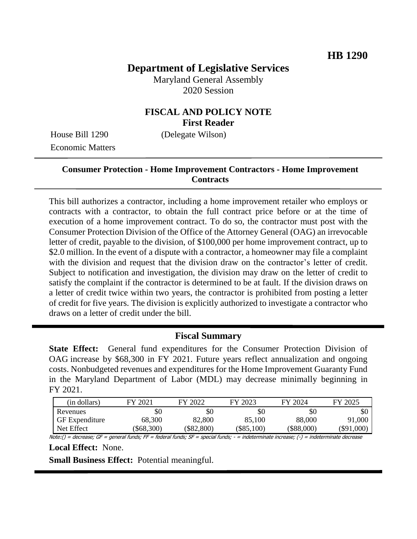# **Department of Legislative Services**

Maryland General Assembly 2020 Session

### **FISCAL AND POLICY NOTE First Reader**

House Bill 1290 (Delegate Wilson) Economic Matters

#### **Consumer Protection - Home Improvement Contractors - Home Improvement Contracts**

This bill authorizes a contractor, including a home improvement retailer who employs or contracts with a contractor, to obtain the full contract price before or at the time of execution of a home improvement contract. To do so, the contractor must post with the Consumer Protection Division of the Office of the Attorney General (OAG) an irrevocable letter of credit, payable to the division, of \$100,000 per home improvement contract, up to \$2.0 million. In the event of a dispute with a contractor, a homeowner may file a complaint with the division and request that the division draw on the contractor's letter of credit. Subject to notification and investigation, the division may draw on the letter of credit to satisfy the complaint if the contractor is determined to be at fault. If the division draws on a letter of credit twice within two years, the contractor is prohibited from posting a letter of credit for five years. The division is explicitly authorized to investigate a contractor who draws on a letter of credit under the bill.

# **Fiscal Summary**

**State Effect:** General fund expenditures for the Consumer Protection Division of OAG increase by \$68,300 in FY 2021. Future years reflect annualization and ongoing costs. Nonbudgeted revenues and expenditures for the Home Improvement Guaranty Fund in the Maryland Department of Labor (MDL) may decrease minimally beginning in FY 2021.

| (in dollars)                                                                                           | FY 2021  | FY 2022  | FY 2023      | FY 2024      | FY 2025      |
|--------------------------------------------------------------------------------------------------------|----------|----------|--------------|--------------|--------------|
| Revenues                                                                                               | \$0      | \$0      | \$0          | \$0          | \$0          |
| <b>GF</b> Expenditure                                                                                  | 68,300   | 82,800   | 85,100       | 88,000       | 91,000       |
| Net Effect                                                                                             | \$68,300 | \$82,800 | $(\$85,100)$ | $(\$88,000)$ | $(\$91,000)$ |
| $Mation() = diagram CFT = anomaly fundamental.$<br>indeterminate increases () - indeterminate decrease |          |          |              |              |              |

Note:() = decrease; GF = general funds; FF = federal funds; SF = special funds; - = indeterminate increase; (-) = indeterminate decrease

**Local Effect:** None.

**Small Business Effect:** Potential meaningful.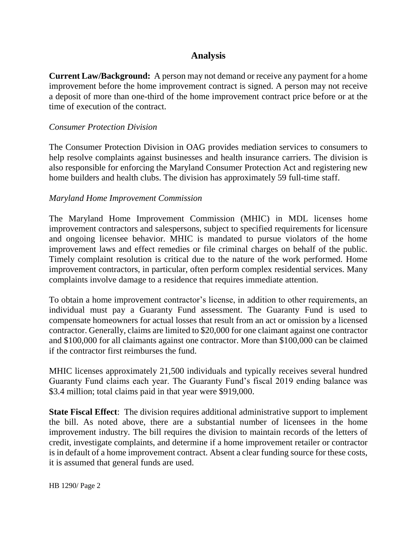# **Analysis**

**Current Law/Background:** A person may not demand or receive any payment for a home improvement before the home improvement contract is signed. A person may not receive a deposit of more than one-third of the home improvement contract price before or at the time of execution of the contract.

#### *Consumer Protection Division*

The Consumer Protection Division in OAG provides mediation services to consumers to help resolve complaints against businesses and health insurance carriers. The division is also responsible for enforcing the Maryland Consumer Protection Act and registering new home builders and health clubs. The division has approximately 59 full-time staff.

#### *Maryland Home Improvement Commission*

The Maryland Home Improvement Commission (MHIC) in MDL licenses home improvement contractors and salespersons, subject to specified requirements for licensure and ongoing licensee behavior. MHIC is mandated to pursue violators of the home improvement laws and effect remedies or file criminal charges on behalf of the public. Timely complaint resolution is critical due to the nature of the work performed. Home improvement contractors, in particular, often perform complex residential services. Many complaints involve damage to a residence that requires immediate attention.

To obtain a home improvement contractor's license, in addition to other requirements, an individual must pay a Guaranty Fund assessment. The Guaranty Fund is used to compensate homeowners for actual losses that result from an act or omission by a licensed contractor. Generally, claims are limited to \$20,000 for one claimant against one contractor and \$100,000 for all claimants against one contractor. More than \$100,000 can be claimed if the contractor first reimburses the fund.

MHIC licenses approximately 21,500 individuals and typically receives several hundred Guaranty Fund claims each year. The Guaranty Fund's fiscal 2019 ending balance was \$3.4 million; total claims paid in that year were \$919,000.

**State Fiscal Effect**: The division requires additional administrative support to implement the bill. As noted above, there are a substantial number of licensees in the home improvement industry. The bill requires the division to maintain records of the letters of credit, investigate complaints, and determine if a home improvement retailer or contractor is in default of a home improvement contract. Absent a clear funding source for these costs, it is assumed that general funds are used.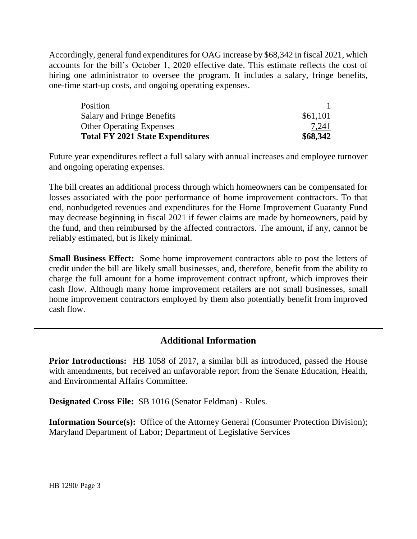Accordingly, general fund expenditures for OAG increase by \$68,342 in fiscal 2021, which accounts for the bill's October 1, 2020 effective date. This estimate reflects the cost of hiring one administrator to oversee the program. It includes a salary, fringe benefits, one-time start-up costs, and ongoing operating expenses.

| Position                                |          |
|-----------------------------------------|----------|
| Salary and Fringe Benefits              | \$61,101 |
| <b>Other Operating Expenses</b>         | 7,241    |
| <b>Total FY 2021 State Expenditures</b> | \$68,342 |

Future year expenditures reflect a full salary with annual increases and employee turnover and ongoing operating expenses.

The bill creates an additional process through which homeowners can be compensated for losses associated with the poor performance of home improvement contractors. To that end, nonbudgeted revenues and expenditures for the Home Improvement Guaranty Fund may decrease beginning in fiscal 2021 if fewer claims are made by homeowners, paid by the fund, and then reimbursed by the affected contractors. The amount, if any, cannot be reliably estimated, but is likely minimal.

**Small Business Effect:** Some home improvement contractors able to post the letters of credit under the bill are likely small businesses, and, therefore, benefit from the ability to charge the full amount for a home improvement contract upfront, which improves their cash flow. Although many home improvement retailers are not small businesses, small home improvement contractors employed by them also potentially benefit from improved cash flow.

# **Additional Information**

**Prior Introductions:** HB 1058 of 2017, a similar bill as introduced, passed the House with amendments, but received an unfavorable report from the Senate Education, Health, and Environmental Affairs Committee.

**Designated Cross File:** SB 1016 (Senator Feldman) - Rules.

**Information Source(s):** Office of the Attorney General (Consumer Protection Division); Maryland Department of Labor; Department of Legislative Services